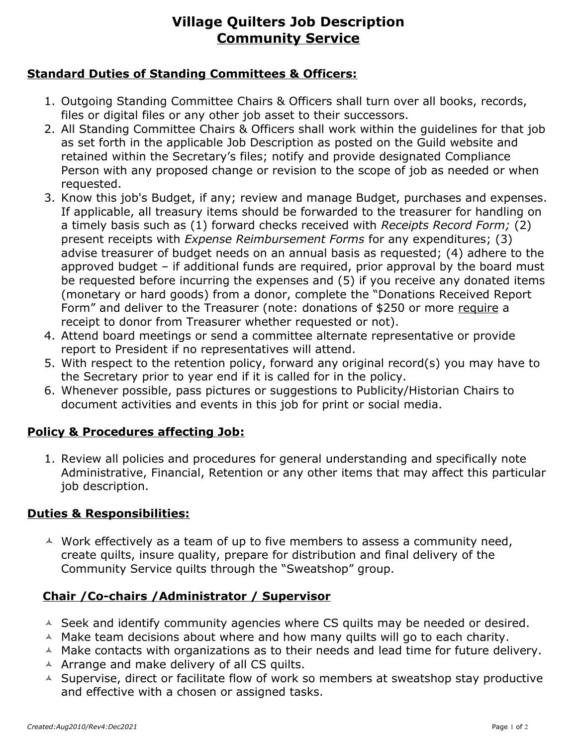# **Village Quilters Job Description Community Service**

#### **Standard Duties of Standing Committees & Officers:**

- 1. Outgoing Standing Committee Chairs & Officers shall turn over all books, records, files or digital files or any other job asset to their successors.
- 2. All Standing Committee Chairs & Officers shall work within the guidelines for that job as set forth in the applicable Job Description as posted on the Guild website and retained within the Secretary's files; notify and provide designated Compliance Person with any proposed change or revision to the scope of job as needed or when requested.
- 3. Know this job's Budget, if any; review and manage Budget, purchases and expenses. If applicable, all treasury items should be forwarded to the treasurer for handling on a timely basis such as (1) forward checks received with *Receipts Record Form;* (2) present receipts with *Expense Reimbursement Forms* for any expenditures; (3) advise treasurer of budget needs on an annual basis as requested; (4) adhere to the approved budget – if additional funds are required, prior approval by the board must be requested before incurring the expenses and (5) if you receive any donated items (monetary or hard goods) from a donor, complete the "Donations Received Report Form" and deliver to the Treasurer (note: donations of \$250 or more require a receipt to donor from Treasurer whether requested or not).
- 4. Attend board meetings or send a committee alternate representative or provide report to President if no representatives will attend.
- 5. With respect to the retention policy, forward any original record(s) you may have to the Secretary prior to year end if it is called for in the policy.
- 6. Whenever possible, pass pictures or suggestions to Publicity/Historian Chairs to document activities and events in this job for print or social media.

### **Policy & Procedures affecting Job:**

1. Review all policies and procedures for general understanding and specifically note Administrative, Financial, Retention or any other items that may affect this particular job description.

#### **Duties & Responsibilities:**

 $\triangle$  Work effectively as a team of up to five members to assess a community need, create quilts, insure quality, prepare for distribution and final delivery of the Community Service quilts through the "Sweatshop" group.

### **Chair /Co-chairs /Administrator / Supervisor**

- $\triangle$  Seek and identify community agencies where CS quilts may be needed or desired.
- $\triangle$  Make team decisions about where and how many quilts will go to each charity.
- $\triangle$  Make contacts with organizations as to their needs and lead time for future delivery.  $\triangle$  Arrange and make delivery of all CS quilts.
- A Supervise, direct or facilitate flow of work so members at sweatshop stay productive and effective with a chosen or assigned tasks.